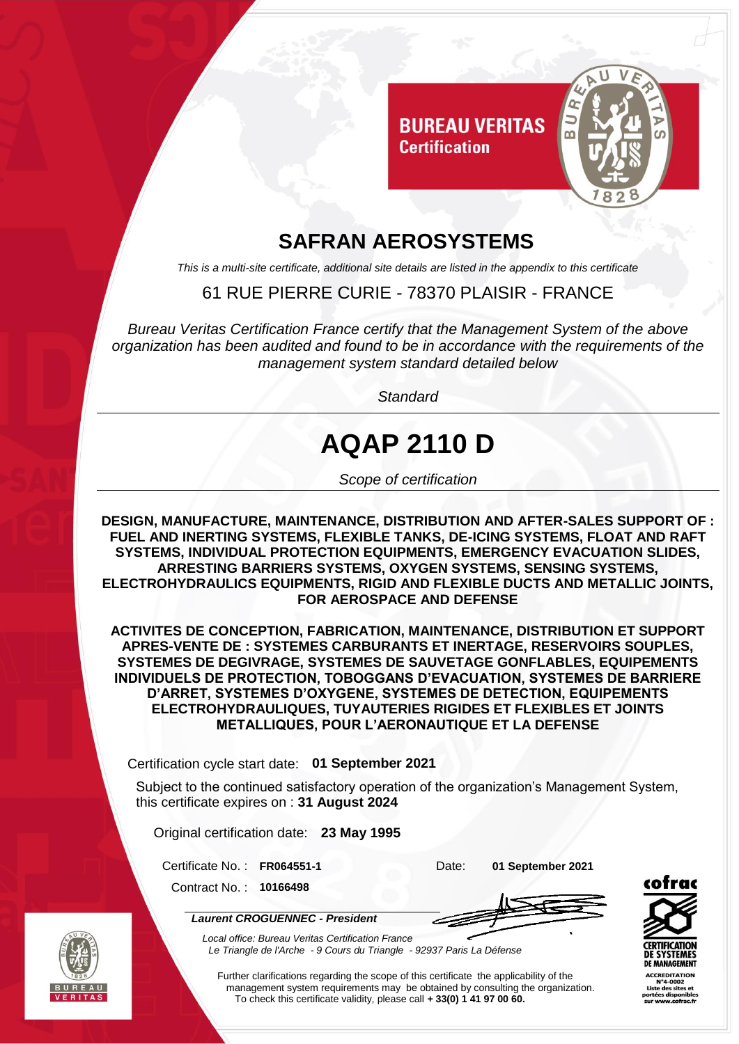

### **SAFRAN AEROSYSTEMS**

*This is a multi-site certificate, additional site details are listed in the appendix to this certificate*

### 61 RUE PIERRE CURIE - 78370 PLAISIR - FRANCE

*Bureau Veritas Certification France certify that the Management System of the above organization has been audited and found to be in accordance with the requirements of the management system standard detailed below*

*Standard*

# **AQAP 2110 D**

*Scope of certification*

**DESIGN, MANUFACTURE, MAINTENANCE, DISTRIBUTION AND AFTER-SALES SUPPORT OF : FUEL AND INERTING SYSTEMS, FLEXIBLE TANKS, DE-ICING SYSTEMS, FLOAT AND RAFT SYSTEMS, INDIVIDUAL PROTECTION EQUIPMENTS, EMERGENCY EVACUATION SLIDES, ARRESTING BARRIERS SYSTEMS, OXYGEN SYSTEMS, SENSING SYSTEMS, ELECTROHYDRAULICS EQUIPMENTS, RIGID AND FLEXIBLE DUCTS AND METALLIC JOINTS, FOR AEROSPACE AND DEFENSE**

**ACTIVITES DE CONCEPTION, FABRICATION, MAINTENANCE, DISTRIBUTION ET SUPPORT APRES-VENTE DE : SYSTEMES CARBURANTS ET INERTAGE, RESERVOIRS SOUPLES, SYSTEMES DE DEGIVRAGE, SYSTEMES DE SAUVETAGE GONFLABLES, EQUIPEMENTS INDIVIDUELS DE PROTECTION, TOBOGGANS D'EVACUATION, SYSTEMES DE BARRIERE D'ARRET, SYSTEMES D'OXYGENE, SYSTEMES DE DETECTION, EQUIPEMENTS ELECTROHYDRAULIQUES, TUYAUTERIES RIGIDES ET FLEXIBLES ET JOINTS METALLIQUES, POUR L'AERONAUTIQUE ET LA DEFENSE**

Certification cycle start date: **01 September 2021**

Subject to the continued satisfactory operation of the organization's Management System, this certificate expires on : **31 August 2024**

Original certification date: **23 May 1995**

Certificate No. : **FR064551-1** Date: **01 September 2021**

Contract No. : **10166498**

*Laurent CROGUENNEC - President*





*Local office: Bureau Veritas Certification France Le Triangle de l'Arche - 9 Cours du Triangle - 92937 Paris La Défense*

Further clarifications regarding the scope of this certificate the applicability of the management system requirements may be obtained by consulting the organization. To check this certificate validity, please call **+ 33(0) 1 41 97 00 60.**

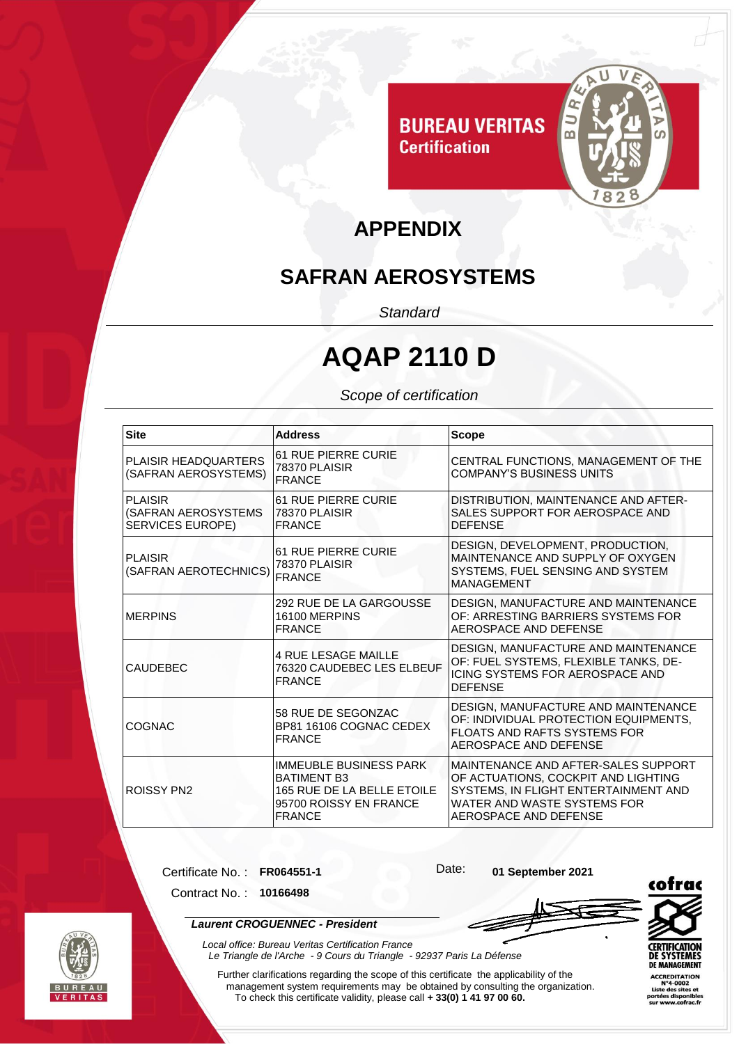

## **APPENDIX**

### **SAFRAN AEROSYSTEMS**

*Standard*

## **AQAP 2110 D**

#### *Scope of certification*

| <b>Site</b>                                                      | <b>Address</b>                                                                                                               | <b>Scope</b>                                                                                                                                                                      |
|------------------------------------------------------------------|------------------------------------------------------------------------------------------------------------------------------|-----------------------------------------------------------------------------------------------------------------------------------------------------------------------------------|
| PLAISIR HEADQUARTERS<br>(SAFRAN AEROSYSTEMS)                     | <b>61 RUE PIERRE CURIE</b><br>78370 PLAISIR<br><b>FRANCE</b>                                                                 | CENTRAL FUNCTIONS, MANAGEMENT OF THE<br><b>COMPANY'S BUSINESS UNITS</b>                                                                                                           |
| <b>PLAISIR</b><br>(SAFRAN AEROSYSTEMS<br><b>SERVICES EUROPE)</b> | <b>61 RUE PIERRE CURIE</b><br>78370 PLAISIR<br><b>FRANCE</b>                                                                 | DISTRIBUTION, MAINTENANCE AND AFTER-<br>SALES SUPPORT FOR AEROSPACE AND<br><b>DEFENSE</b>                                                                                         |
| <b>PLAISIR</b><br>(SAFRAN AEROTECHNICS)                          | <b>61 RUE PIERRE CURIE</b><br>78370 PLAISIR<br><b>FRANCE</b>                                                                 | DESIGN, DEVELOPMENT, PRODUCTION,<br>MAINTENANCE AND SUPPLY OF OXYGEN<br>SYSTEMS, FUEL SENSING AND SYSTEM<br><b>MANAGEMENT</b>                                                     |
| <b>MERPINS</b>                                                   | 292 RUE DE LA GARGOUSSE<br>16100 MERPINS<br><b>FRANCE</b>                                                                    | DESIGN, MANUFACTURE AND MAINTENANCE<br>OF: ARRESTING BARRIERS SYSTEMS FOR<br>AEROSPACE AND DEFENSE                                                                                |
| CAUDEBEC                                                         | <b>4 RUE LESAGE MAILLE</b><br>76320 CAUDEBEC LES ELBEUF<br><b>FRANCE</b>                                                     | DESIGN, MANUFACTURE AND MAINTENANCE<br>OF: FUEL SYSTEMS, FLEXIBLE TANKS, DE-<br>ICING SYSTEMS FOR AEROSPACE AND<br><b>DEFENSE</b>                                                 |
| COGNAC                                                           | 58 RUE DE SEGONZAC<br>BP81 16106 COGNAC CEDEX<br><b>FRANCE</b>                                                               | DESIGN, MANUFACTURE AND MAINTENANCE<br>OF: INDIVIDUAL PROTECTION EQUIPMENTS.<br><b>FLOATS AND RAFTS SYSTEMS FOR</b><br>AEROSPACE AND DEFENSE                                      |
| <b>ROISSY PN2</b>                                                | <b>IMMEUBLE BUSINESS PARK</b><br><b>BATIMENT B3</b><br>165 RUE DE LA BELLE ETOILE<br>95700 ROISSY EN FRANCE<br><b>FRANCE</b> | MAINTENANCE AND AFTER-SALES SUPPORT<br>OF ACTUATIONS, COCKPIT AND LIGHTING<br>SYSTEMS, IN FLIGHT ENTERTAINMENT AND<br>WATER AND WASTE SYSTEMS FOR<br><b>AEROSPACE AND DEFENSE</b> |

Certificate No. : **FR064551-1** Date: **01 September 2021**

Contract No. : **10166498**

*Local office: Bureau Veritas Certification France*



*Laurent CROGUENNEC - President*





Further clarifications regarding the scope of this certificate the applicability of the management system requirements may be obtained by consulting the organization. To check this certificate validity, please call **+ 33(0) 1 41 97 00 60.**

*Le Triangle de l'Arche - 9 Cours du Triangle - 92937 Paris La Défense*